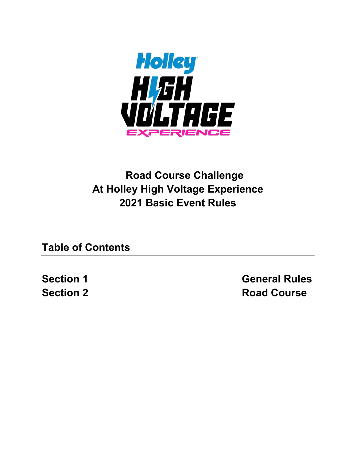

# **Road Course Challenge At Holley High Voltage Experience 2021 Basic Event Rules**

**Table of Contents**

**Section 1 General Rules Section 2 Road Course**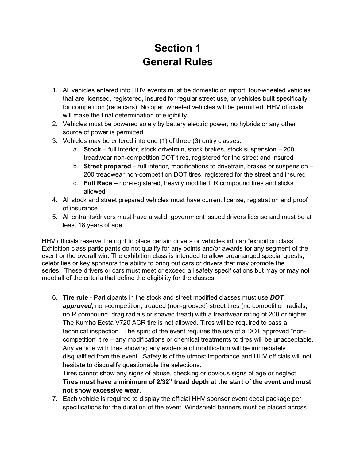## **Section 1 General Rules**

- 1. All vehicles entered into HHV events must be domestic or import, four-wheeled vehicles that are licensed, registered, insured for regular street use, or vehicles built specifically for competition (race cars). No open wheeled vehicles will be permitted. HHV officials will make the final determination of eligibility.
- 2. Vehicles must be powered solely by battery electric power; no hybrids or any other source of power is permitted.
- 3. Vehicles may be entered into one (1) of three (3) entry classes:
	- a. **Stock** full interior, stock drivetrain, stock brakes, stock suspension 200 treadwear non-competition DOT tires, registered for the street and insured
	- b. **Street prepared** full interior, modifications to drivetrain, brakes or suspension 200 treadwear non-competition DOT tires, registered for the street and insured
	- c. **Full Race** non-registered, heavily modified, R compound tires and slicks allowed
- 4. All stock and street prepared vehicles must have current license, registration and proof of insurance.
- 5. All entrants/drivers must have a valid, government issued drivers license and must be at least 18 years of age.

HHV officials reserve the right to place certain drivers or vehicles into an "exhibition class". Exhibition class participants do not qualify for any points and/or awards for any segment of the event or the overall win. The exhibition class is intended to allow prearranged special guests, celebrities or key sponsors the ability to bring out cars or drivers that may promote the series. These drivers or cars must meet or exceed all safety specifications but may or may not meet all of the criteria that define the eligibility for the classes.

6. **Tire rule** - Participants in the stock and street modified classes must use *DOT*  approved, non-competition, treaded (non-grooved) street tires (no competition radials, no R compound, drag radials or shaved tread) with a treadwear rating of 200 or higher. The Kumho Ecsta V720 ACR tire is not allowed. Tires will be required to pass a technical inspection. The spirit of the event requires the use of a DOT approved "noncompetition" tire – any modifications or chemical treatments to tires will be unacceptable. Any vehicle with tires showing any evidence of modification will be immediately disqualified from the event. Safety is of the utmost importance and HHV officials will not hesitate to disqualify questionable tire selections.

Tires cannot show any signs of abuse, checking or obvious signs of age or neglect. **Tires must have a minimum of 2/32" tread depth at the start of the event and must not show excessive wear.** 

7. Each vehicle is required to display the official HHV sponsor event decal package per specifications for the duration of the event. Windshield banners must be placed across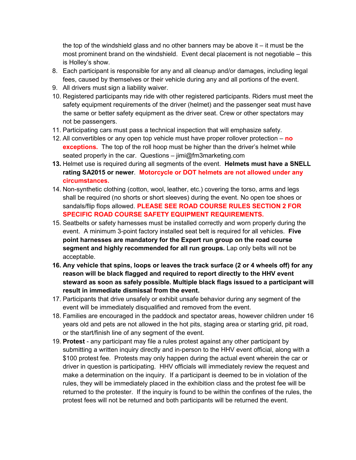the top of the windshield glass and no other banners may be above it – it must be the most prominent brand on the windshield. Event decal placement is not negotiable – this is Holley's show.

- 8. Each participant is responsible for any and all cleanup and/or damages, including legal fees, caused by themselves or their vehicle during any and all portions of the event.
- 9. All drivers must sign a liability waiver.
- 10. Registered participants may ride with other registered participants. Riders must meet the safety equipment requirements of the driver (helmet) and the passenger seat must have the same or better safety equipment as the driver seat. Crew or other spectators may not be passengers.
- 11. Participating cars must pass a technical inspection that will emphasize safety.
- 12. All convertibles or any open top vehicle must have proper rollover protection **no exceptions.** The top of the roll hoop must be higher than the driver's helmet while seated properly in the car. Questions – jimi@fm3marketing.com
- **13.** Helmet use is required during all segments of the event. **Helmets must have a SNELL rating SA2015 or newer**. **Motorcycle or DOT helmets are not allowed under any circumstances.**
- 14. Non-synthetic clothing (cotton, wool, leather, etc.) covering the torso, arms and legs shall be required (no shorts or short sleeves) during the event. No open toe shoes or sandals/flip flops allowed. **PLEASE SEE ROAD COURSE RULES SECTION 2 FOR SPECIFIC ROAD COURSE SAFETY EQUIPMENT REQUIREMENTS.**
- 15. Seatbelts or safety harnesses must be installed correctly and worn properly during the event. A minimum 3-point factory installed seat belt is required for all vehicles. **Five point harnesses are mandatory for the Expert run group on the road course segment and highly recommended for all run groups.** Lap only belts will not be acceptable.
- **16. Any vehicle that spins, loops or leaves the track surface (2 or 4 wheels off) for any reason will be black flagged and required to report directly to the HHV event steward as soon as safely possible. Multiple black flags issued to a participant will result in immediate dismissal from the event.**
- 17. Participants that drive unsafely or exhibit unsafe behavior during any segment of the event will be immediately disqualified and removed from the event.
- 18. Families are encouraged in the paddock and spectator areas, however children under 16 years old and pets are not allowed in the hot pits, staging area or starting grid, pit road, or the start/finish line of any segment of the event.
- 19. **Protest** any participant may file a rules protest against any other participant by submitting a written inquiry directly and in-person to the HHV event official, along with a \$100 protest fee. Protests may only happen during the actual event wherein the car or driver in question is participating. HHV officials will immediately review the request and make a determination on the inquiry. If a participant is deemed to be in violation of the rules, they will be immediately placed in the exhibition class and the protest fee will be returned to the protester. If the inquiry is found to be within the confines of the rules, the protest fees will not be returned and both participants will be returned the event.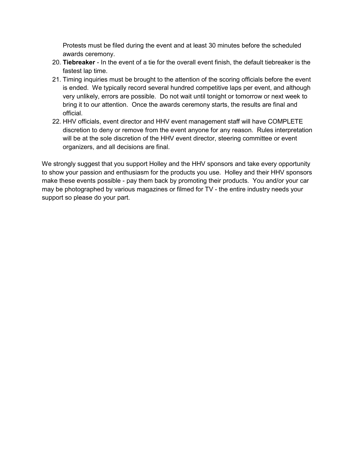Protests must be filed during the event and at least 30 minutes before the scheduled awards ceremony.

- 20. **Tiebreaker** In the event of a tie for the overall event finish, the default tiebreaker is the fastest lap time.
- 21. Timing inquiries must be brought to the attention of the scoring officials before the event is ended. We typically record several hundred competitive laps per event, and although very unlikely, errors are possible. Do not wait until tonight or tomorrow or next week to bring it to our attention. Once the awards ceremony starts, the results are final and official.
- 22. HHV officials, event director and HHV event management staff will have COMPLETE discretion to deny or remove from the event anyone for any reason. Rules interpretation will be at the sole discretion of the HHV event director, steering committee or event organizers, and all decisions are final.

We strongly suggest that you support Holley and the HHV sponsors and take every opportunity to show your passion and enthusiasm for the products you use. Holley and their HHV sponsors make these events possible - pay them back by promoting their products. You and/or your car may be photographed by various magazines or filmed for TV - the entire industry needs your support so please do your part.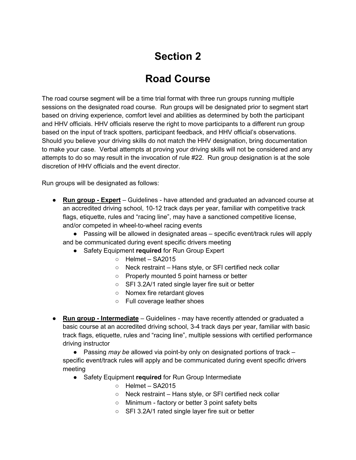# **Section 2**

## **Road Course**

The road course segment will be a time trial format with three run groups running multiple sessions on the designated road course. Run groups will be designated prior to segment start based on driving experience, comfort level and abilities as determined by both the participant and HHV officials. HHV officials reserve the right to move participants to a different run group based on the input of track spotters, participant feedback, and HHV official's observations. Should you believe your driving skills do not match the HHV designation, bring documentation to make your case. Verbal attempts at proving your driving skills will not be considered and any attempts to do so may result in the invocation of rule #22. Run group designation is at the sole discretion of HHV officials and the event director.

Run groups will be designated as follows:

- **Run group - Expert** Guidelines have attended and graduated an advanced course at an accredited driving school, 10-12 track days per year, familiar with competitive track flags, etiquette, rules and "racing line", may have a sanctioned competitive license, and/or competed in wheel-to-wheel racing events
	- Passing will be allowed in designated areas specific event/track rules will apply and be communicated during event specific drivers meeting
		- Safety Equipment **required** for Run Group Expert
			- Helmet SA2015
			- Neck restraint Hans style, or SFI certified neck collar
			- Properly mounted 5 point harness or better
			- SFI 3.2A/1 rated single layer fire suit or better
			- Nomex fire retardant gloves
			- Full coverage leather shoes
- **Run group - Intermediate** Guidelines may have recently attended or graduated a basic course at an accredited driving school, 3-4 track days per year, familiar with basic track flags, etiquette, rules and "racing line", multiple sessions with certified performance driving instructor
	- Passing *may be* allowed via point-by only on designated portions of track specific event/track rules will apply and be communicated during event specific drivers meeting
		- Safety Equipment **required** for Run Group Intermediate
			- Helmet SA2015
			- Neck restraint Hans style, or SFI certified neck collar
			- Minimum factory or better 3 point safety belts
			- SFI 3.2A/1 rated single layer fire suit or better